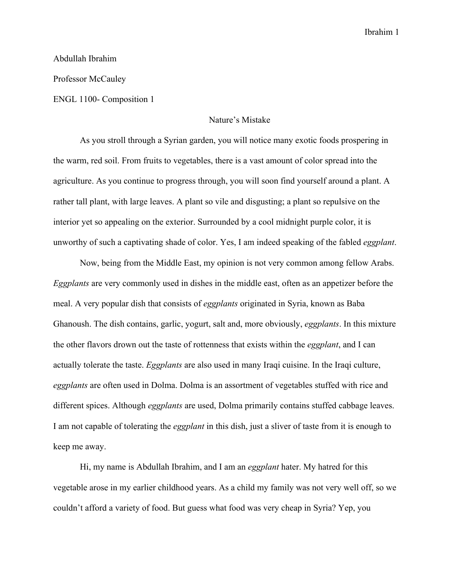Ibrahim 1

## Abdullah Ibrahim

Professor McCauley

ENGL 1100- Composition 1

## Nature's Mistake

As you stroll through a Syrian garden, you will notice many exotic foods prospering in the warm, red soil. From fruits to vegetables, there is a vast amount of color spread into the agriculture. As you continue to progress through, you will soon find yourself around a plant. A rather tall plant, with large leaves. A plant so vile and disgusting; a plant so repulsive on the interior yet so appealing on the exterior. Surrounded by a cool midnight purple color, it is unworthy of such a captivating shade of color. Yes, I am indeed speaking of the fabled *eggplant*.

Now, being from the Middle East, my opinion is not very common among fellow Arabs. *Eggplants* are very commonly used in dishes in the middle east, often as an appetizer before the meal. A very popular dish that consists of *eggplants* originated in Syria, known as Baba Ghanoush. The dish contains, garlic, yogurt, salt and, more obviously, *eggplants*. In this mixture the other flavors drown out the taste of rottenness that exists within the *eggplant*, and I can actually tolerate the taste. *Eggplants* are also used in many Iraqi cuisine. In the Iraqi culture, *eggplants* are often used in Dolma. Dolma is an assortment of vegetables stuffed with rice and different spices. Although *eggplants* are used, Dolma primarily contains stuffed cabbage leaves. I am not capable of tolerating the *eggplant* in this dish, just a sliver of taste from it is enough to keep me away.

Hi, my name is Abdullah Ibrahim, and I am an *eggplant* hater. My hatred for this vegetable arose in my earlier childhood years. As a child my family was not very well off, so we couldn't afford a variety of food. But guess what food was very cheap in Syria? Yep, you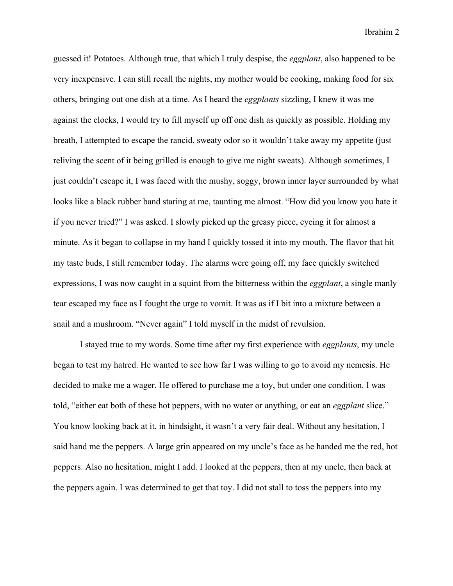Ibrahim 2

guessed it! Potatoes. Although true, that which I truly despise, the *eggplant*, also happened to be very inexpensive. I can still recall the nights, my mother would be cooking, making food for six others, bringing out one dish at a time. As I heard the *eggplants* sizzling, I knew it was me against the clocks, I would try to fill myself up off one dish as quickly as possible. Holding my breath, I attempted to escape the rancid, sweaty odor so it wouldn't take away my appetite (just reliving the scent of it being grilled is enough to give me night sweats). Although sometimes, I just couldn't escape it, I was faced with the mushy, soggy, brown inner layer surrounded by what looks like a black rubber band staring at me, taunting me almost. "How did you know you hate it if you never tried?" I was asked. I slowly picked up the greasy piece, eyeing it for almost a minute. As it began to collapse in my hand I quickly tossed it into my mouth. The flavor that hit my taste buds, I still remember today. The alarms were going off, my face quickly switched expressions, I was now caught in a squint from the bitterness within the *eggplant*, a single manly tear escaped my face as I fought the urge to vomit. It was as if I bit into a mixture between a snail and a mushroom. "Never again" I told myself in the midst of revulsion.

I stayed true to my words. Some time after my first experience with *eggplants*, my uncle began to test my hatred. He wanted to see how far I was willing to go to avoid my nemesis. He decided to make me a wager. He offered to purchase me a toy, but under one condition. I was told, "either eat both of these hot peppers, with no water or anything, or eat an *eggplant* slice." You know looking back at it, in hindsight, it wasn't a very fair deal. Without any hesitation, I said hand me the peppers. A large grin appeared on my uncle's face as he handed me the red, hot peppers. Also no hesitation, might I add. I looked at the peppers, then at my uncle, then back at the peppers again. I was determined to get that toy. I did not stall to toss the peppers into my